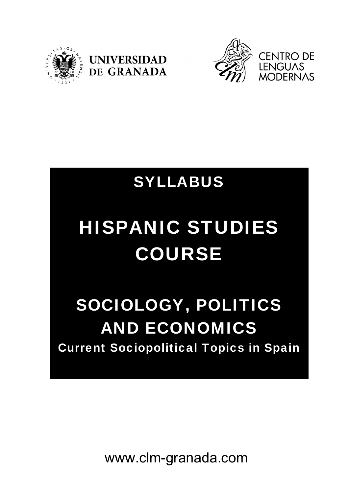





# SYLLABUS

# HISPANIC STUDIES COURSE

# SOCIOLOGY, POLITICS AND ECONOMICS Current Sociopolitical Topics in Spain

www.clm-granada.com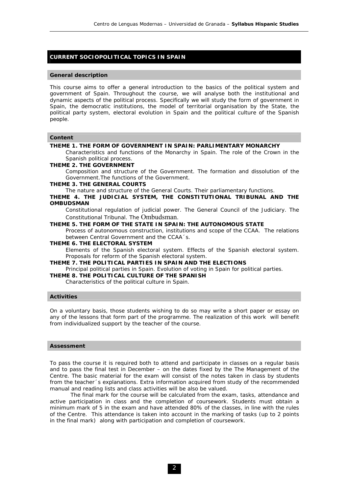# **CURRENT SOCIOPOLITICAL TOPICS IN SPAIN**

#### **General description**

This course aims to offer a general introduction to the basics of the political system and government of Spain. Throughout the course, we will analyse both the institutional and dynamic aspects of the political process. Specifically we will study the form of government in Spain, the democratic institutions, the model of territorial organisation by the State, the political party system, electoral evolution in Spain and the political culture of the Spanish people.

# **Content**

#### **THEME 1. THE FORM OF GOVERNMENT IN SPAIN: PARLIMENTARY MONARCHY**

Characteristics and functions of the Monarchy in Spain. The role of the Crown in the Spanish political process.

# **THEME 2. THE GOVERNMENT**

Composition and structure of the Government. The formation and dissolution of the Government.The functions of the Government.

#### **THEME 3. THE GENERAL COURTS**

The nature and structure of the General Courts. Their parliamentary functions.

**THEME 4. THE JUDICIAL SYSTEM, THE CONSTITUTIONAL TRIBUNAL AND THE OMBUDSMAN** 

Constitutional regulation of judicial power. The General Council of the Judiciary. The Constitutional Tribunal. The Ombudsman.

### **THEME 5. THE FORM OF THE STATE IN SPAIN: THE AUTONOMOUS STATE**

Process of autonomous construction, institutions and scope of the CCAA. The relations between Central Government and the CCAA´s.

## **THEME 6. THE ELECTORAL SYSTEM**

Elements of the Spanish electoral system. Effects of the Spanish electoral system. Proposals for reform of the Spanish electoral system.

#### **THEME 7. THE POLITICAL PARTIES IN SPAIN AND THE ELECTIONS**

Principal political parties in Spain. Evolution of voting in Spain for political parties.

**THEME 8. THE POLITICAL CULTURE OF THE SPANISH** 

Characteristics of the political culture in Spain.

#### **Activities**

On a voluntary basis, those students wishing to do so may write a short paper or essay on any of the lessons that form part of the programme. The realization of this work will benefit from individualized support by the teacher of the course.

#### **Assessment**

To pass the course it is required both to attend and participate in classes on a regular basis and to pass the final test in December – on the dates fixed by the The Management of the Centre. The basic material for the exam will consist of the notes taken in class by students from the teacher´s explanations. Extra information acquired from study of the recommended manual and reading lists and class activities will be also be valued.

 The final mark for the course will be calculated from the exam, tasks, attendance and active participation in class and the completion of coursework. Students must obtain a minimum mark of 5 in the exam and have attended 80% of the classes, in line with the rules of the Centre. This attendance is taken into account in the marking of tasks (up to 2 points in the final mark) along with participation and completion of coursework.